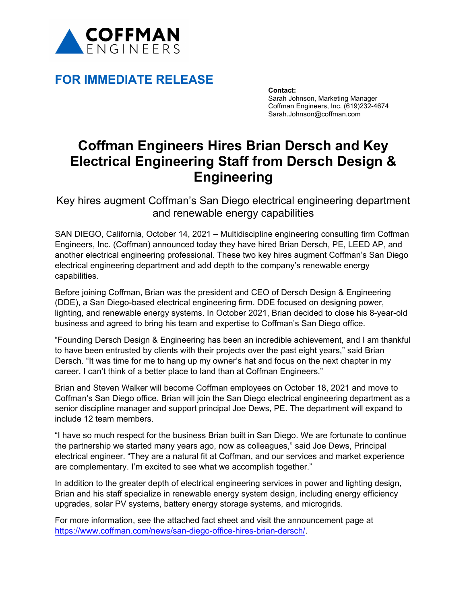

## **FOR IMMEDIATE RELEASE**

**Contact:** Sarah Johnson, Marketing Manager Coffman Engineers, Inc. (619)232-4674 Sarah.Johnson@coffman.com

## **Coffman Engineers Hires Brian Dersch and Key Electrical Engineering Staff from Dersch Design & Engineering**

Key hires augment Coffman's San Diego electrical engineering department and renewable energy capabilities

SAN DIEGO, California, October 14, 2021 – Multidiscipline engineering consulting firm Coffman Engineers, Inc. (Coffman) announced today they have hired Brian Dersch, PE, LEED AP, and another electrical engineering professional. These two key hires augment Coffman's San Diego electrical engineering department and add depth to the company's renewable energy capabilities.

Before joining Coffman, Brian was the president and CEO of Dersch Design & Engineering (DDE), a San Diego-based electrical engineering firm. DDE focused on designing power, lighting, and renewable energy systems. In October 2021, Brian decided to close his 8-year-old business and agreed to bring his team and expertise to Coffman's San Diego office.

"Founding Dersch Design & Engineering has been an incredible achievement, and I am thankful to have been entrusted by clients with their projects over the past eight years," said Brian Dersch. "It was time for me to hang up my owner's hat and focus on the next chapter in my career. I can't think of a better place to land than at Coffman Engineers."

Brian and Steven Walker will become Coffman employees on October 18, 2021 and move to Coffman's San Diego office. Brian will join the San Diego electrical engineering department as a senior discipline manager and support principal Joe Dews, PE. The department will expand to include 12 team members.

"I have so much respect for the business Brian built in San Diego. We are fortunate to continue the partnership we started many years ago, now as colleagues," said Joe Dews, Principal electrical engineer. "They are a natural fit at Coffman, and our services and market experience are complementary. I'm excited to see what we accomplish together."

In addition to the greater depth of electrical engineering services in power and lighting design, Brian and his staff specialize in renewable energy system design, including energy efficiency upgrades, solar PV systems, battery energy storage systems, and microgrids.

For more information, see the attached fact sheet and visit the announcement page at https://www.coffman.com/news/san-diego-office-hires-brian-dersch/.